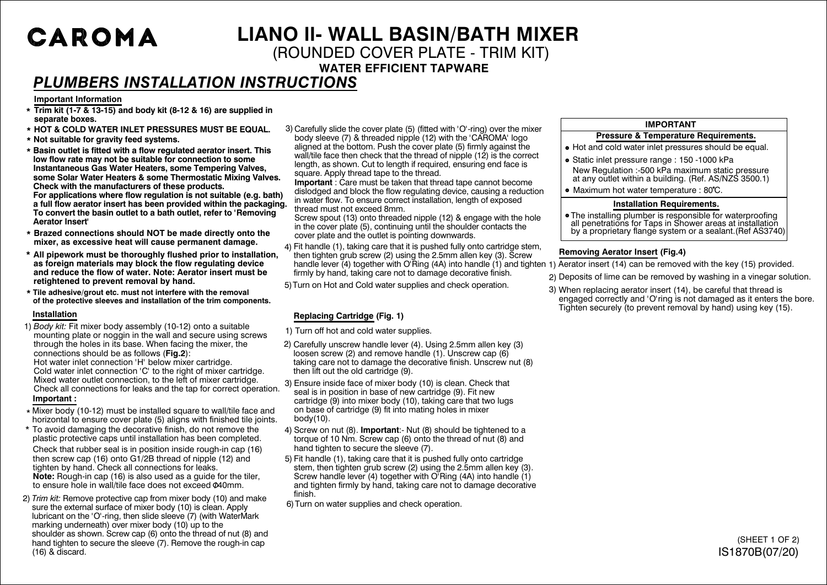# CAROMA

## **LIANO ll- WALL BASIN/BATH MIXER**

### (ROUNDED COVER PLATE - TRIM KIT)

**WATER EFFICIENT TAPWARE**

## *PLUMBERS INSTALLATION INSTRUCTIONS*

#### **Important Information**

- **\* Trim kit (1-7 & 13-15) and body kit (8-12 & 16) are supplied in separate boxes.**
- **\* HOT & COLD WATER INLET PRESSURES MUST BE EQUAL.**
- **\* Not suitable for gravity feed systems.**
- **\* Basin outlet is fitted with a flow regulated aerator insert. This low flow rate may not be suitable for connection to some Instantaneous Gas Water Heaters, some Tempering Valves, some Solar Water Heaters & some Thermostatic Mixing Valves. Check with the manufacturers of these products. For applications where flow regulation is not suitable (e.g. bath) a full flow aerator insert has been provided within the packaging. To convert the basin outlet to a bath outlet, refer to 'Removing Aerator Insert'**
- **\* Brazed connections should NOT be made directly onto the mixer, as excessive heat will cause permanent damage.**
- **\* All pipework must be thoroughly flushed prior to installation, as foreign materials may block the flow regulating device and reduce the flow of water. Note: Aerator insert must be retightened to prevent removal by hand.**
- **Tile adhesive/grout etc. must not interfere with the removal \* of the protective sleeves and installation of the trim components.**

#### **Installation**

- 1) *Body kit:* Fit mixer body assembly (10-12) onto a suitable mounting plate or noggin in the wall and secure using screws through the holes in its base. When facing the mixer, the connections should be as follows (**Fig.2**): Hot water inlet connection 'H' below mixer cartridge. Cold water inlet connection 'C' to the right of mixer cartridge. Mixed water outlet connection, to the left of mixer cartridge. Check all connections for leaks and the tap for correct operation. **Important :**
- \* Mixer body (10-12) must be installed square to wall/tile face and horizontal to ensure cover plate (5) aligns with finished tile joints.
- \* To avoid damaging the decorative finish, do not remove the plastic protective caps until installation has been completed.

Check that rubber seal is in position inside rough-in cap (16) then screw cap (16) onto G1/2B thread of nipple (12) and tighten by hand. Check all connections for leaks. **Note:** Rough-in cap (16) is also used as a guide for the tiler, to ensure hole in wall/tile face does not exceed 040mm.

2) *Trim kit:* Remove protective cap from mixer body (10) and make sure the external surface of mixer body (10) is clean. Apply lubricant on the 'O'-ring, then slide sleeve (7) (with WaterMark marking underneath) over mixer body  $(10)$  up to the shoulder as shown. Screw cap (6) onto the thread of nut (8) and hand tighten to secure the sleeve (7). Remove the rough-in cap (16) & discard.

3) Carefully slide the cover plate (5) (fitted with 'O'-ring) over the mixer body sleeve (7) & threaded nipple (12) with the 'CAROMA' logo aligned at the bottom. Push the cover plate (5) firmly against the wall/tile face then check that the thread of nipple (12) is the correct length, as shown. Cut to length if required, ensuring end face is square. Apply thread tape to the thread.

**Important** : Care must be taken that thread tape cannot become dislodged and block the flow regulating device, causing a reduction in water flow. To ensure correct installation, length of exposed thread must not exceed 8mm.

Screw spout (13) onto threaded nipple (12) & engage with the hole in the cover plate (5), continuing until the shoulder contacts the cover plate and the outlet is pointing downwards.

- Fit handle (1), taking care that it is pushed fully onto cartridge stem, 4) then tighten grub screw (2) using the 2.5mm allen key (3). Screw handle lever (4) together with O'Ring (4A) into handle (1) and tighten 1) Aerator insert (14) can be removed with the key (15) provided. firmly by hand, taking care not to damage decorative finish.
- 5) Turn on Hot and Cold water supplies and check operation.

#### **Replacing Cartridge (Fig. 1)**

- 1) Turn off hot and cold water supplies.
- 2) Carefully unscrew handle lever (4). Using 2.5mm allen key (3) loosen screw (2) and remove handle (1). Unscrew cap (6) taking care not to damage the decorative finish. Unscrew nut (8) then lift out the old cartridge (9).

Ensure inside face of mixer body (10) is clean. Check that 3) seal is in position in base of new cartridge (9). Fit new cartridge (9) into mixer body (10), taking care that two lugs on base of cartridge (9) fit into mating holes in mixer body(10).

- 4) Screw on nut (8). **Important**:- Nut (8) should be tightened to a torque of 10 Nm. Screw cap (6) onto the thread of nut (8) and hand tighten to secure the sleeve (7).
- Fit handle (1), taking care that it is pushed fully onto cartridge 5) stem, then tighten grub screw (2) using the 2.5mm allen key (3). Screw handle lever (4) together with O'Ring (4A) into handle (1) and tighten firmly by hand, taking care not to damage decorative finish.
- 6) Turn on water supplies and check operation.

#### **IMPORTANT**

#### **Pressure & Temperature Requirements.**

- Hot and cold water inlet pressures should be equal.
- New Regulation :-500 kPa maximum static pressure at any outlet within a building. (Ref. AS/NZS 3500.1) • Static inlet pressure range : 150 -1000 kPa
- Maximum hot water temperature : 80°C.

#### **Installation Requirements.**

• The installing plumber is responsible for waterproofing all penetrations for Taps in Shower areas at installation by a proprietary flange system or a sealant.(Ref AS3740)

#### **Removing Aerator Insert (Fig.4)**

- 
- 2) Deposits of lime can be removed by washing in a vinegar solution.
- When replacing aerator insert (14), be careful that thread is 3)engaged correctly and 'O'ring is not damaged as it enters the bore. Tighten securely (to prevent removal by hand) using key (15).